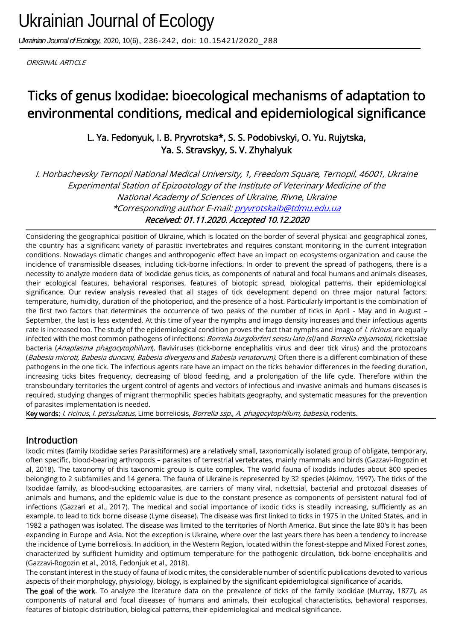*Ukrainian Journal of Ecology,* 2020, 10(6), 236-242, doi: 10.15421/2020\_288

ORIGINAL ARTICLE

# Ticks of genus Ixodidae: bioecological mechanisms of adaptation to environmental conditions, medical and epidemiological significance

L. Ya. Fedonyuk, I. B. Pryvrotska\*, S. S. Podobivskyi, O. Yu. Rujytska, Ya. S. Stravskyy, S. V. Zhyhalyuk

I. Horbachevsky Ternopil National Medical University, 1, Freedom Square, Ternopil, 46001, Ukraine Experimental Station of Epizootology of the Institute of Veterinary Medicine of the National Academy of Sciences of Ukraine, Rivne, Ukraine \*Corresponding author E-mail: pryvrotskaib@tdmu.edu.ua Received: 01.11.2020. Accepted 10.12.2020

Considering the geographical position of Ukraine, which is located on the border of several physical and geographical zones, the country has a significant variety of parasitic invertebrates and requires constant monitoring in the current integration conditions. Nowadays climatic changes and anthropogenic effect have an impact on ecosystems organization and cause the incidence of transmissible diseases, including tick-borne infections. In order to prevent the spread of pathogens, there is a necessity to analyze modern data of Ixodidae genus ticks, as components of natural and focal humans and animals diseases, their ecological features, behavioral responses, features of biotopic spread, biological patterns, their epidemiological significance. Our review analysis revealed that all stages of tick development depend on three major natural factors: temperature, humidity, duration of the photoperiod, and the presence of a host. Particularly important is the combination of the first two factors that determines the occurrence of two peaks of the number of ticks in April - May and in August – September, the last is less extended. At this time of year the nymphs and imago density increases and their infectious agents rate is increased too. The study of the epidemiological condition proves the fact that nymphs and imago of *I. ricinus* are equally infected with the most common pathogens of infections: *Borrelia burgdorferi sensu lato (sl)* and *Borrelia miyamotoi*, rickettsiae bacteria (Anaplasma phagocytophilum), flaviviruses (tick-borne encephalitis virus and deer tick virus) and the protozoans (Babesia microti, Babesia duncani, Babesia divergens and Babesia venatorum). Often there is a different combination of these pathogens in the one tick. The infectious agents rate have an impact on the ticks behavior differences in the feeding duration, increasing ticks bites frequency, decreasing of blood feeding, and a prolongation of the life cycle. Therefore within the transboundary territories the urgent control of agents and vectors of infectious and invasive animals and humans diseases is required, studying changes of migrant thermophilic species habitats geography, and systematic measures for the prevention of parasites implementation is needed.

Key words: I. ricinus, I. persulcatus, Lime borreliosis, Borrelia ssp., A. phagocytophilum, babesia, rodents.

### Introduction

Ixodic mites (family Ixodidae series Parasitiformes) are a relatively small, taxonomically isolated group of obligate, temporary, often specific, blood-bearing arthropods – parasites of terrestrial vertebrates, mainly mammals and birds (Gazzavi-Rogozin et al, 2018). The taxonomy of this taxonomic group is quite complex. The world fauna of ixodids includes about 800 species belonging to 2 subfamilies and 14 genera. The fauna of Ukraine is represented by 32 species (Akimov, 1997). The ticks of the Ixodidae family, as blood-sucking ectoparasites, are carriers of many viral, rickettsial, bacterial and protozoal diseases of animals and humans, and the epidemic value is due to the constant presence as components of persistent natural foci of infections (Gazzari et al., 2017). The medical and social importance of ixodic ticks is steadily increasing, sufficiently as an example, to lead to tick borne disease (Lyme disease). The disease was first linked to ticks in 1975 in the United States, and in 1982 a pathogen was isolated. The disease was limited to the territories of North America. But since the late 80's it has been expanding in Europe and Asia. Not the exception is Ukraine, where over the last years there has been a tendency to increase the incidence of Lyme borreliosis. In addition, in the Western Region, located within the forest-steppe and Mixed Forest zones, characterized by sufficient humidity and optimum temperature for the pathogenic circulation, tick-borne encephalitis and (Gazzavi-Rogozin et al., 2018, Fedonjuk et al., 2018).

The constant interest in the study of fauna of ixodic mites, the considerable number of scientific publications devoted to various aspects of their morphology, physiology, biology, is explained by the significant epidemiological significance of acarids.

The goal of the work. To analyze the literature data on the prevalence of ticks of the family Ixodidae (Murray, 1877), as components of natural and focal diseases of humans and animals, their ecological characteristics, behavioral responses, features of biotopic distribution, biological patterns, their epidemiological and medical significance.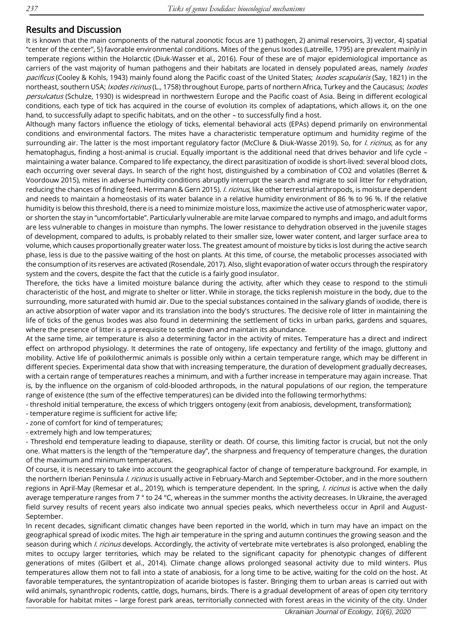## Results and Discussion

It is known that the main components of the natural zoonotic focus are 1) pathogen, 2) animal reservoirs, 3) vector, 4) spatial "center of the center", 5) favorable environmental conditions. Mites of the genus Ixodes (Latreille, 1795) are prevalent mainly in temperate regions within the Holarctic (Diuk-Wasser et al., 2016). Four of these are of major epidemiological importance as carriers of the vast majority of human pathogens and their habitats are located in densely populated areas, namely *Ixodes* pacificus (Cooley & Kohls, 1943) mainly found along the Pacific coast of the United States; Ixodes scapularis (Say, 1821) in the northeast, southern USA; Ixodes ricinus (L., 1758) throughout Europe, parts of northern Africa, Turkey and the Caucasus; Ixodes persulcatus (Schulze, 1930) is widespread in northwestern Europe and the Pacific coast of Asia. Being in different ecological conditions, each type of tick has acquired in the course of evolution its complex of adaptations, which allows it, on the one hand, to successfully adapt to specific habitats, and on the other – to successfully find a host.

Although many factors influence the etiology of ticks, elemental behavioral acts (EPAs) depend primarily on environmental conditions and environmental factors. The mites have a characteristic temperature optimum and humidity regime of the surrounding air. The latter is the most important regulatory factor (McClure & Diuk-Wasse 2019). So, for *I. ricinus*, as for any hematophagus, finding a host-animal is crucial. Equally important is the additional need that drives behavior and life cycle – maintaining a water balance. Compared to life expectancy, the direct parasitization of ixodide is short-lived: several blood clots, each occurring over several days. In search of the right host, distinguished by a combination of CO2 and volatiles (Berret & Voordouw 2015), mites in adverse humidity conditions abruptly interrupt the search and migrate to soil litter for rehydration, reducing the chances of finding feed. Herrmann & Gern 2015). *I. ricinus*, like other terrestrial arthropods, is moisture dependent and needs to maintain a homeostasis of its water balance in a relative humidity environment of 86 % to 96 %. If the relative humidity is below this threshold, there is a need to minimize moisture loss, maximize the active use of atmospheric water vapor, or shorten the stay in "uncomfortable". Particularly vulnerable are mite larvae compared to nymphs and imago, and adult forms are less vulnerable to changes in moisture than nymphs. The lower resistance to dehydration observed in the juvenile stages of development, compared to adults, is probably related to their smaller size, lower water content, and larger surface area to volume, which causes proportionally greater water loss. The greatest amount of moisture by ticks is lost during the active search phase, less is due to the passive waiting of the host on plants. At this time, of course, the metabolic processes associated with the consumption of its reserves are activated (Rosendale, 2017). Also, slight evaporation of water occurs through the respiratory system and the covers, despite the fact that the cuticle is a fairly good insulator.

Therefore, the ticks have a limited moisture balance during the activity, after which they cease to respond to the stimuli characteristic of the host, and migrate to shelter or litter. While in storage, the ticks replenish moisture in the body, due to the surrounding, more saturated with humid air. Due to the special substances contained in the salivary glands of ixodide, there is an active absorption of water vapor and its translation into the body's structures. The decisive role of litter in maintaining the life of ticks of the genus Ixodes was also found in determining the settlement of ticks in urban parks, gardens and squares, where the presence of litter is a prerequisite to settle down and maintain its abundance.

At the same time, air temperature is also a determining factor in the activity of mites. Temperature has a direct and indirect effect on arthropod physiology. It determines the rate of ontogeny, life expectancy and fertility of the imago, gluttony and mobility. Active life of poikilothermic animals is possible only within a certain temperature range, which may be different in different species. Experimental data show that with increasing temperature, the duration of development gradually decreases, with a certain range of temperatures reaches a minimum, and with a further increase in temperature may again increase. That is, by the influence on the organism of cold-blooded arthropods, in the natural populations of our region, the temperature range of existence (the sum of the effective temperatures) can be divided into the following termorhythms:

- threshold initial temperature, the excess of which triggers ontogeny (exit from anabiosis, development, transformation);

- temperature regime is sufficient for active life;
- zone of comfort for kind of temperatures;

- extremely high and low temperatures;

- Threshold end temperature leading to diapause, sterility or death. Of course, this limiting factor is crucial, but not the only one. What matters is the length of the "temperature day", the sharpness and frequency of temperature changes, the duration of the maximum and minimum temperatures.

Of course, it is necessary to take into account the geographical factor of change of temperature background. For example, in the northern Iberian Peninsula *I. ricinus* is usually active in February-March and September-October, and in the more southern regions in April-May (Remesar et al., 2019), which is temperature dependent. In the spring, *I. ricinus* is active when the daily average temperature ranges from 7 ° to 24 °C, whereas in the summer months the activity decreases. In Ukraine, the averaged field survey results of recent years also indicate two annual species peaks, which nevertheless occur in April and August-September.

In recent decades, significant climatic changes have been reported in the world, which in turn may have an impact on the geographical spread of ixodic mites. The high air temperature in the spring and autumn continues the growing season and the season during which *I. ricinus* develops. Accordingly, the activity of vertebrate mite vertebrates is also prolonged, enabling the mites to occupy larger territories, which may be related to the significant capacity for phenotypic changes of different generations of mites (Gilbert et al., 2014). Climate change allows prolonged seasonal activity due to mild winters. Plus temperatures allow them not to fall into a state of anabiosis, for a long time to be active, waiting for the cold on the host. At favorable temperatures, the syntantropization of acaride biotopes is faster. Bringing them to urban areas is carried out with wild animals, synanthropic rodents, cattle, dogs, humans, birds. There is a gradual development of areas of open city territory favorable for habitat mites – large forest park areas, territorially connected with forest areas in the vicinity of the city. Under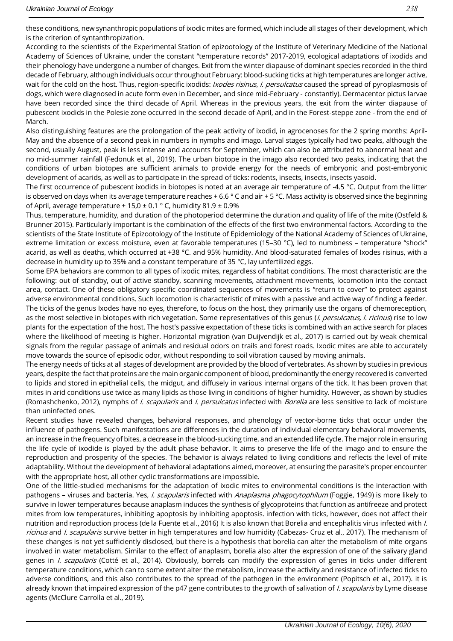According to the scientists of the Experimental Station of epizootology of the Institute of Veterinary Medicine of the National Academy of Sciences of Ukraine, under the constant "temperature records" 2017-2019, ecological adaptations of ixodids and their phenology have undergone a number of changes. Exit from the winter diapause of dominant species recorded in the third decade of February, although individuals occur throughout February: blood-sucking ticks at high temperatures are longer active, wait for the cold on the host. Thus, region-specific ixodids: *Ixodes risinus, I. persulcatus* caused the spread of pyroplasmosis of dogs, which were diagnosed in acute form even in December, and since mid-February - constantly). Dermacentor pictus larvae have been recorded since the third decade of April. Whereas in the previous years, the exit from the winter diapause of pubescent ixodids in the Polesie zone occurred in the second decade of April, and in the Forest-steppe zone - from the end of March.

Also distinguishing features are the prolongation of the peak activity of ixodid, in agrocenoses for the 2 spring months: April-May and the absence of a second peak in numbers in nymphs and imago. Larval stages typically had two peaks, although the second, usually August, peak is less intense and accounts for September, which can also be attributed to abnormal heat and no mid-summer rainfall (Fedonuk et al., 2019). The urban biotope in the imago also recorded two peaks, indicating that the conditions of urban biotopes are sufficient animals to provide energy for the needs of embryonic and post-embryonic development of acarids, as well as to participate in the spread of ticks: rodents, insects, insects, insects yasoid.

The first occurrence of pubescent ixodids in biotopes is noted at an average air temperature of -4.5 °C. Output from the litter is observed on days when its average temperature reaches + 6.6  $\degree$  C and air + 5  $\degree$ C. Mass activity is observed since the beginning of April, average temperature + 15,0  $\pm$  0.1 ° C, humidity 81.9  $\pm$  0.9%

Thus, temperature, humidity, and duration of the photoperiod determine the duration and quality of life of the mite (Ostfeld & Brunner 2015). Particularly important is the combination of the effects of the first two environmental factors. According to the scientists of the State Institute of Epizootology of the Institute of Epidemiology of the National Academy of Sciences of Ukraine, extreme limitation or excess moisture, even at favorable temperatures (15–30 °C), led to numbness – temperature "shock" acarid, as well as deaths, which occurred at +38 °C. and 95% humidity. And blood-saturated females of Ixodes risinus, with a decrease in humidity up to 35% and a constant temperature of 35 °C, lay unfertilized eggs.

Some EPA behaviors are common to all types of ixodic mites, regardless of habitat conditions. The most characteristic are the following: out of standby, out of active standby, scanning movements, attachment movements, locomotion into the contact area, contact. One of these obligatory specific coordinated sequences of movements is "return to cover" to protect against adverse environmental conditions. Such locomotion is characteristic of mites with a passive and active way of finding a feeder. The ticks of the genus Ixodes have no eyes, therefore, to focus on the host, they primarily use the organs of chemoreception, as the most selective in biotopes with rich vegetation. Some representatives of this genus (*I. persulcatus, I. ricinus*) rise to low plants for the expectation of the host. The host's passive expectation of these ticks is combined with an active search for places where the likelihood of meeting is higher. Horizontal migration (van Duijvendijk et al., 2017) is carried out by weak chemical signals from the regular passage of animals and residual odors on trails and forest roads. Ixodic mites are able to accurately move towards the source of episodic odor, without responding to soil vibration caused by moving animals.

The energy needs of ticks at all stages of development are provided by the blood of vertebrates. As shown by studies in previous years, despite the fact that proteins are the main organic component of blood, predominantly the energy recovered is converted to lipids and stored in epithelial cells, the midgut, and diffusely in various internal organs of the tick. It has been proven that mites in arid conditions use twice as many lipids as those living in conditions of higher humidity. However, as shown by studies (Romashchenko, 2012), nymphs of *I. scapularis* and *I. persulcatus* infected with *Borelia* are less sensitive to lack of moisture than uninfected ones.

Recent studies have revealed changes, behavioral responses, and phenology of vector-borne ticks that occur under the influence of pathogens. Such manifestations are differences in the duration of individual elementary behavioral movements, an increase in the frequency of bites, a decrease in the blood-sucking time, and an extended life cycle. The major role in ensuring the life cycle of ixodide is played by the adult phase behavior. It aims to preserve the life of the imago and to ensure the reproduction and prosperity of the species. The behavior is always related to living conditions and reflects the level of mite adaptability. Without the development of behavioral adaptations aimed, moreover, at ensuring the parasite's proper encounter with the appropriate host, all other cyclic transformations are impossible.

One of the little-studied mechanisms for the adaptation of ixodic mites to environmental conditions is the interaction with pathogens – viruses and bacteria. Yes, *I. scapularis* infected with *Anaplasma phagocytophilum* (Foggie, 1949) is more likely to survive in lower temperatures because anaplasm induces the synthesis of glycoproteins that function as antifreeze and protect mites from low temperatures, inhibiting apoptosis by inhibiting apoptosis. infection with ticks, however, does not affect their nutrition and reproduction process (de la Fuente et al., 2016) It is also known that Borelia and encephalitis virus infected with I. ricinus and *I. scapularis* survive better in high temperatures and low humidity (Cabezas- Cruz et al., 2017). The mechanism of these changes is not yet sufficiently disclosed, but there is a hypothesis that borelia can alter the metabolism of mite organs involved in water metabolism. Similar to the effect of anaplasm, borelia also alter the expression of one of the salivary gland genes in I. scapularis (Cotté et al., 2014). Obviously, borrels can modify the expression of genes in ticks under different temperature conditions, which can to some extent alter the metabolism, increase the activity and resistance of infected ticks to adverse conditions, and this also contributes to the spread of the pathogen in the environment (Popitsch et al., 2017). it is already known that impaired expression of the p47 gene contributes to the growth of salivation of *I. scapularis* by Lyme disease agents (McClure Carrolla et al., 2019).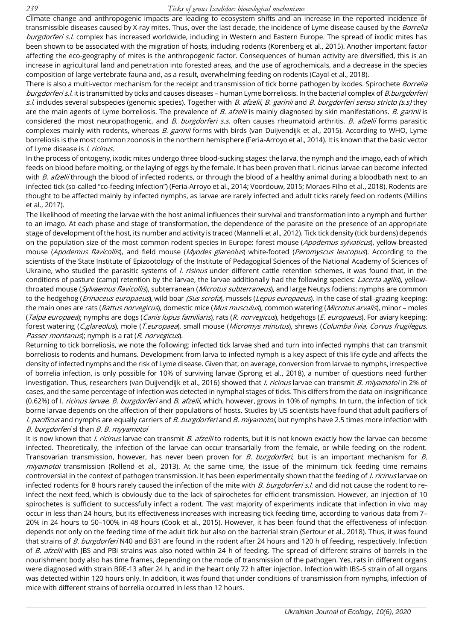#### *239 Ticks of genus Ixodidae: bioecological mechanisms*

Climate change and anthropogenic impacts are leading to ecosystem shifts and an increase in the reported incidence of transmissible diseases caused by X-ray mites. Thus, over the last decade, the incidence of Lyme disease caused by the *Borrelia* burgdorferi s.l. complex has increased worldwide, including in Western and Eastern Europe. The spread of ixodic mites has been shown to be associated with the migration of hosts, including rodents (Korenberg et al., 2015). Another important factor affecting the eco-geography of mites is the anthropogenic factor. Consequences of human activity are diversified, this is an increase in agricultural land and penetration into forested areas, and the use of agrochemicals, and a decrease in the species composition of large vertebrate fauna and, as a result, overwhelming feeding on rodents (Cayol et al., 2018).

There is also a multi-vector mechanism for the receipt and transmission of tick borne pathogen by ixodes. Spirochete *Borrelia* burgdorferi s.l. it is transmitted by ticks and causes diseases – human Lyme borreliosis. In the bacterial complex of B.burgdorferi s.l. includes several subspecies (genomic species). Together with B. afzelii, B. garinii and B. burgdorferi sensu stricto (s.s) they are the main agents of Lyme borreliosis. The prevalence of B. afzelii is mainly diagnosed by skin manifestations. B. garinii is considered the most neuropathogenic, and B. burgdorferi s.s. often causes rheumatoid arthritis. B. afzelii forms parasitic complexes mainly with rodents, whereas B. garinii forms with birds (van Duijvendijk et al., 2015). According to WHO, Lyme borreliosis is the most common zoonosis in the northern hemisphere (Feria-Arroyo et al., 2014). It is known that the basic vector of Lyme disease is *I. ricinus*.

In the process of ontogeny, ixodic mites undergo three blood-sucking stages: the larva, the nymph and the imago, each of which feeds on blood before molting, or the laying of eggs by the female. It has been proven that I. ricinus larvae can become infected with B. afzelii through the blood of infected rodents, or through the blood of a healthy animal during a bloodbath next to an infected tick (so-called "co-feeding infection") (Feria-Arroyo et al., 2014; Voordouw, 2015; Moraes-Filho et al., 2018). Rodents are thought to be affected mainly by infected nymphs, as larvae are rarely infected and adult ticks rarely feed on rodents (Millins et al., 2017).

The likelihood of meeting the larvae with the host animal influences their survival and transformation into a nymph and further to an imago. At each phase and stage of transformation, the dependence of the parasite on the presence of an appropriate stage of development of the host, its number and activity is traced (Mannelli et al., 2012). Tick tick density (tick burdens) depends on the population size of the most common rodent species in Europe: forest mouse (Apodemus sylvaticus), yellow-breasted mouse (Apodemus flavicollis), and field mouse (Myodes glareolus) white-footed (Peromyscus leucopus). According to the scientists of the State Institute of Epizootology of the Institute of Pedagogical Sciences of the National Academy of Sciences of Ukraine, who studied the parasitic systems of *I. risinus* under different cattle retention schemes, it was found that, in the conditions of pasture (camp) retention by the larvae, the larvae additionally had the following species: *Lacerta agilis*), yellowthroated mouse (Sylvaemus flavicollis), subterranean (Microtus subterraneus), and large Neutys fodiens; nymphs are common to the hedgehog (*Erinaceus europaeus*), wild boar (Sus scrofa), mussels (Lepus europaeus). In the case of stall-grazing keeping: the main ones are rats (Rattus norvegicus), domestic mice (Mus musculus), common watering (Microtus arvalis), minor - moles (Talpa europaea); nymphs are dogs (Canis lupus familiaris), rats (R. norvegicus), hedgehogs (E. europaeus). For aviary keeping: forest watering (C.glareolus), mole (T.europaea), small mouse (Micromys minutus), shrews (Columba livia, Corvus frugilegus, Passer montanus); nymph is a rat (R. norvegicus).

Returning to tick borreliosis, we note the following: infected tick larvae shed and turn into infected nymphs that can transmit borreliosis to rodents and humans. Development from larva to infected nymph is a key aspect of this life cycle and affects the density of infected nymphs and the risk of Lyme disease. Given that, on average, conversion from larvae to nymphs, irrespective of borrelia infection, is only possible for 10% of surviving larvae (Sprong et al., 2018), a number of questions need further investigation. Thus, researchers (van Duijvendijk et al., 2016) showed that *I. ricinus* larvae can transmit *B. miyamotoi* in 2% of cases, and the same percentage of infection was detected in nymphal stages of ticks. This differs from the data on insignificance (0.62%) of I. ricinus larvae, B. burgdorferi and B. afzelii, which, however, grows in 10% of nymphs. In turn, the infection of tick borne larvae depends on the affection of their populations of hosts. Studies by US scientists have found that adult pacifiers of I. pacificus and nymphs are equally carriers of B. burgdorferi and B. miyamotoi, but nymphs have 2.5 times more infection with B. burgdorferi sl than B. B. myyamotoi

It is now known that *I. ricinus* larvae can transmit B. afzelii to rodents, but it is not known exactly how the larvae can become infected. Theoretically, the infection of the larvae can occur transarially from the female, or while feeding on the rodent. Transovarian transmission, however, has never been proven for B. burgdorferi, but is an important mechanism for B. miyamotoi transmission (Rollend et al., 2013). At the same time, the issue of the minimum tick feeding time remains controversial in the context of pathogen transmission. It has been experimentally shown that the feeding of *I. ricinus* larvae on infected rodents for 8 hours rarely caused the infection of the mite with B. burgdorferi s.l. and did not cause the rodent to reinfect the next feed, which is obviously due to the lack of spirochetes for efficient transmission. However, an injection of 10 spirochetes is sufficient to successfully infect a rodent. The vast majority of experiments indicate that infection in vivo may occur in less than 24 hours, but its effectiveness increases with increasing tick feeding time, according to various data from 7– 20% in 24 hours to 50–100% in 48 hours (Cook et al., 2015). However, it has been found that the effectiveness of infection depends not only on the feeding time of the adult tick but also on the bacterial strain (Sertour et al., 2018). Thus, it was found that strains of B. burgdorferi N40 and B31 are found in the rodent after 24 hours and 120 h of feeding, respectively. Infection of B. afzelii with JBS and PBi strains was also noted within 24 h of feeding. The spread of different strains of borrels in the nourishment body also has time frames, depending on the mode of transmission of the pathogen. Yes, rats in different organs were diagnosed with strain BRE-13 after 24 h, and in the heart only 72 h after injection. Infection with IBS-5 strain of all organs was detected within 120 hours only. In addition, it was found that under conditions of transmission from nymphs, infection of mice with different strains of borrelia occurred in less than 12 hours.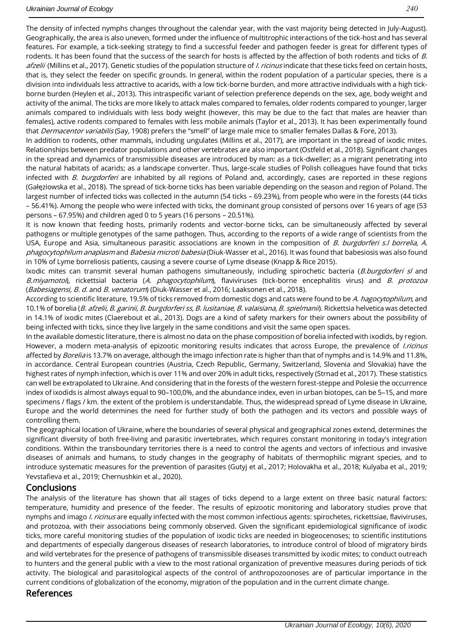The density of infected nymphs changes throughout the calendar year, with the vast majority being detected in July-August). Geographically, the area is also uneven, formed under the influence of multitrophic interactions of the tick-host and has several features. For example, a tick-seeking strategy to find a successful feeder and pathogen feeder is great for different types of rodents. It has been found that the success of the search for hosts is affected by the affection of both rodents and ticks of B. afzelii (Millins et al., 2017). Genetic studies of the population structure of *I. ricinus* indicate that these ticks feed on certain hosts, that is, they select the feeder on specific grounds. In general, within the rodent population of a particular species, there is a division into individuals less attractive to acarids, with a low tick-borne burden, and more attractive individuals with a high tickborne burden (Heylen et al., 2013). This intraspecific variant of selection preference depends on the sex, age, body weight and activity of the animal. The ticks are more likely to attack males compared to females, older rodents compared to younger, larger animals compared to individuals with less body weight (however, this may be due to the fact that males are heavier than females), active rodents compared to females with less mobile animals (Taylor et al., 2013). It has been experimentally found that *Dermacentor variabilis* (Say, 1908) prefers the "smell" of large male mice to smaller females Dallas & Fore, 2013).

In addition to rodents, other mammals, including ungulates (Millins et al., 2017), are important in the spread of ixodic mites. Relationships between predator populations and other vertebrates are also important (Ostfeld et al., 2018). Significant changes in the spread and dynamics of transmissible diseases are introduced by man: as a tick-dweller; as a migrant penetrating into the natural habitats of acarids; as a landscape converter. Thus, large-scale studies of Polish colleagues have found that ticks infected with B. burgdorferi are inhabited by all regions of Poland and, accordingly, cases are reported in these regions (Gałęziowska et al., 2018). The spread of tick-borne ticks has been variable depending on the season and region of Poland. The largest number of infected ticks was collected in the autumn (54 ticks – 69.23%), from people who were in the forests (44 ticks – 56.41%). Among the people who were infected with ticks, the dominant group consisted of persons over 16 years of age (53 persons – 67.95%) and children aged 0 to 5 years (16 persons – 20.51%).

It is now known that feeding hosts, primarily rodents and vector-borne ticks, can be simultaneously affected by several pathogens or multiple genotypes of the same pathogen. Thus, according to the reports of a wide range of scientists from the USA, Europe and Asia, simultaneous parasitic associations are known in the composition of B. burgdorferi s.I borrelia, A. phagocytophilum anaplasm and Babesia microti babesia (Diuk-Wasser et al., 2016). It was found that babesiosis was also found in 10% of Lyme borreliosis patients, causing a severe course of Lyme disease (Knapp & Rice 2015).

Ixodic mites can transmit several human pathogens simultaneously, including spirochetic bacteria (B.burgdorferi s/ and B.miyamotoi), rickettsial bacteria (A. phagocytophilum), flaviviruses (tick-borne encephalitis virus) and B. protozoa (Babesiagensi, B. d. and B. venatorum) (Diuk-Wasser et al., 2016; Laaksonen et al., 2018).

According to scientific literature, 19.5% of ticks removed from domestic dogs and cats were found to be A. hagocytophilum, and 10.1% of borelia (B. afzelii, B. garinii, B. burgdorferi ss, B. lusitaniae, B. valaisiana, B. spielmanii). Rickettsia helvetica was detected in 14.1% of ixodic mites (Claerebout et al., 2013). Dogs are a kind of safety markers for their owners about the possibility of being infected with ticks, since they live largely in the same conditions and visit the same open spaces.

In the available domestic literature, there is almost no data on the phase composition of borelia infected with ixodids, by region. However, a modern meta-analysis of epizootic monitoring results indicates that across Europe, the prevalence of *l.ricinus* affected by Borelia is 13.7% on average, although the imago infection rate is higher than that of nymphs and is 14.9% and 11.8%, in accordance. Central European countries (Austria, Czech Republic, Germany, Switzerland, Slovenia and Slovakia) have the highest rates of nymph infection, which is over 11% and over 20% in adult ticks, respectively (Strnad et al., 2017). These statistics can well be extrapolated to Ukraine. And considering that in the forests of the western forest-steppe and Polesie the occurrence index of ixodids is almost always equal to 90–100,0%, and the abundance index, even in urban biotopes, can be 5–15, and more specimens / flags / km. the extent of the problem is understandable. Thus, the widespread spread of Lyme disease in Ukraine, Europe and the world determines the need for further study of both the pathogen and its vectors and possible ways of controlling them.

The geographical location of Ukraine, where the boundaries of several physical and geographical zones extend, determines the significant diversity of both free-living and parasitic invertebrates, which requires constant monitoring in today's integration conditions. Within the transboundary territories there is a need to control the agents and vectors of infectious and invasive diseases of animals and humans, to study changes in the geography of habitats of thermophilic migrant species, and to introduce systematic measures for the prevention of parasites (Gutyj et al., 2017; Holovakha et al., 2018; Kulyaba et al., 2019; Yevstafieva et al., 2019; Chernushkin et al., 2020).

### **Conclusions**

The analysis of the literature has shown that all stages of ticks depend to a large extent on three basic natural factors: temperature, humidity and presence of the feeder. The results of epizootic monitoring and laboratory studies prove that nymphs and imago *I. ricinus* are equally infected with the most common infectious agents: spirochetes, rickettsiae, flaviviruses, and protozoa, with their associations being commonly observed. Given the significant epidemiological significance of ixodic ticks, more careful monitoring studies of the population of ixodic ticks are needed in biogeocenoses; to scientific institutions and departments of especially dangerous diseases of research laboratories, to introduce control of blood of migratory birds and wild vertebrates for the presence of pathogens of transmissible diseases transmitted by ixodic mites; to conduct outreach to hunters and the general public with a view to the most rational organization of preventive measures during periods of tick activity. The biological and parasitological aspects of the control of anthropozoonoses are of particular importance in the current conditions of globalization of the economy, migration of the population and in the current climate change.

### References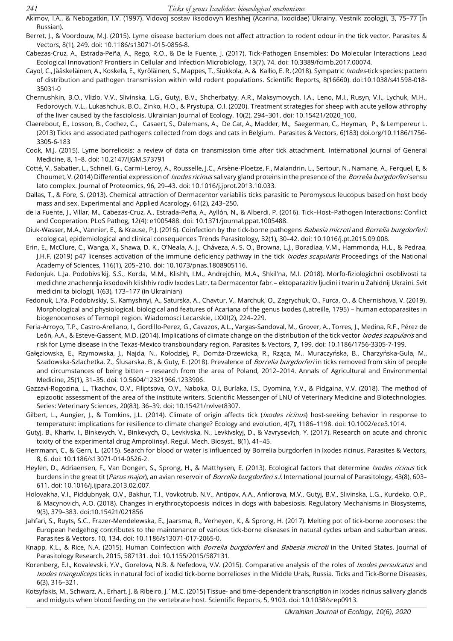- Akimov, I.A., & Nebogatkin, I.V. (1997). Vidovoj sostav iksodovyh kleshhej (Acarina, Ixodidae) Ukrainy. Vestnik zoologii, 3, 75–77 (in Russian).
- Berret, J., & Voordouw, M.J. (2015). Lyme disease bacterium does not affect attraction to rodent odour in the tick vector. Parasites & Vectors, 8(1), 249. doi: 10.1186/s13071-015-0856-8.
- Cabezas-Cruz, A., Estrada-Peña, A., Rego, R.O., & De la Fuente, J. (2017). Tick-Pathogen Ensembles: Do Molecular Interactions Lead Ecological Innovation? Frontiers in Cellular and Infection Microbiology, 13(7), 74. doi: 10.3389/fcimb.2017.00074.
- Cayol, C., Jääskeläinen, A., Koskela, E., Kyröläinen, S., Mappes, T., Siukkola, A. & Kallio, E. R. (2018). Sympatric Ixodes-tick species: pattern of distribution and pathogen transmission within wild rodent populations. Scientific Reports, 8(16660). doi:10.1038/s41598-018- 35031-0
- Chernushkin, B.O., Vlizlo, V.V., Slivinska, L.G., Gutyj, B.V., Shcherbatyy, A.R., Maksymovych, I.A., Leno, M.I., Rusyn, V.I., Lychuk, M.H., Fedorovych, V.L., Lukashchuk, B.O., Zinko, H.O., & Prystupa, O.I. (2020). Treatment strategies for sheep with acute yellow athrophy of the liver caused by the fasciolosis. Ukrainian Journal of Ecology, 10(2), 294–301. doi: 10.15421/2020\_100.
- Claerebout, E., Losson, B., Cochez, C., Casaert, S., Dalemans, A., De Cat, A., Madder, M., Saegerman, C., Heyman, P., & Lempereur L. (2013) Ticks and associated pathogens collected from dogs and cats in Belgium. Parasites & Vectors, 6(183) doi.org/10.1186/1756- 3305-6-183
- Cook, M.J. (2015). Lyme borreliosis: a review of data on transmission time after tick attachment. International Journal of General Medicine, 8, 1–8. doi: 10.2147/IJGM.S73791
- Cotté, V., Sabatier, L., Schnell, G., Carmi-Leroy, A., Rousselle, J.C., Arsène-Ploetze, F., Malandrin, L., Sertour, N., Namane, A., Ferquel, E, & Choumet, V. (2014) Differential expression of *Ixodes ricinus* salivary gland proteins in the presence of the *Borrelia burgdorferi* sensu lato complex. Journal of Proteomics, 96, 29–43. doi: 10.1016/j.jprot.2013.10.033.
- Dallas, T., & Fore, S. (2013). Chemical attraction of Dermacentor variabilis ticks parasitic to Peromyscus leucopus based on host body mass and sex. Experimental and Applied Acarology, 61(2), 243–250.
- de la Fuente, J., Villar, M., Cabezas-Cruz, A., Estrada-Peña, A., Ayllón, N., & Alberdi, P. (2016). Tick–Host–Pathogen Interactions: Conflict and Cooperation. PLoS Pathog, 12(4): e1005488. doi: 10.1371/journal.ppat.1005488.
- Diuk-Wasser, M.A., Vannier, E., & Krause, P.J. (2016). Coinfection by the tick-borne pathogens Babesia microti and Borrelia burgdorferi: ecological, epidemiological and clinical consequences Trends Parasitology, 32(1), 30–42. doi: 10.1016/j.pt.2015.09.008.
- Erin, E., McClure, C., Wanga, X., Shawa, D. K., O'Neala, A. J., Cháveza, A. S. O., Browna, L.J., Boradiaa, V.M., Hammonda, H.L., & Pedraa, J.H.F. (2019) p47 licenses activation of the immune deficiency pathway in the tick Ixodes scapularis Proceedings of the National Academy of Sciences, 116(1), 205–210. doi: 10.1073/pnas.1808905116.
- Fedonjuk, L.Ja. Podobіvs'kij, S.S., Korda, M.M., Klіshh, І.M., Andrejchin, M.A., Shkіl'na, M.І. (2018). Morfo-fіzіologіchnі osoblivostі ta medichne znachennja іksodovih klіshhіv rodіv Ixodes Latr. ta Dermacentor fabr.– ektoparazitіv ljudini і tvarin u Zahіdnіj Ukrainі. Svіt medicini ta bіologii, 1(63), 173–177 (in Ukrainian)
- Fedonuk, L.Ya. Podobivskiy, S., Kamyshnyi, A., Saturska, A., Chavtur, V., Marchuk, O., Zagrychuk, O., Furca, O., & Chernishova, V. (2019). Morphological and physiological, biological and features of Acariana of the genus Ixodes (Latreille, 1795) – human ectoparasites in biogenocenoses of Ternopil region. Wiadomosci Lecarskie, LXXII(2), 224–229.
- Feria-Arroyo, T.P., Castro-Arellano, I., Gordillo-Perez, G., Cavazos, A.L., Vargas-Sandoval, M., Grover, A., Torres, J., Medina, R.F., Pérez de León, A.A., & Esteve-Gassent, M.D. (2014). Implications of climate change on the distribution of the tick vector Ixodes scapularis and risk for Lyme disease in the Texas-Mexico transboundary region. Parasites & Vectors, 7, 199. doi: 10.1186/1756-3305-7-199.
- Gałęziowska, E., Rzymowska, J., Najda, N., Kołodziej, P., Domża-Drzewicka, R., Rząca, M., Muraczyńska, B., Charzyńska-Gula, M., Szadowska-Szlachetka, Z., Ślusarska, B., & Guty, E. (2018). Prevalence of *Borrelia burgdorferi* in ticks removed from skin of people and circumstances of being bitten – research from the area of Poland, 2012–2014. Annals of Agricultural and Environmental Medicine, 25(1), 31–35. doi: 10.5604/12321966.1233906.
- Gazzavi-Rogozina, L., Tkachov, O.V., Filiptsova, O.V., Naboka, O.I, Burlaka, I.S., Dyomina, Y.V., & Pidgaina, V.V. (2018). The method of epizootic assessment of the area of the institute writers. Scientific Messenger of LNU of Veterinary Medicine and Biotechnologies. Series: Veterinary Sciences, 20(83), 36–39. doi: 10.15421/nvlvet8307.
- Gilbert, L., Aungier, J., & Tomkins, J.L. (2014). Climate of origin affects tick (*Ixodes ricinus*) host-seeking behavior in response to temperature: implications for resilience to climate change? Ecology and evolution, 4(7), 1186–1198. doi: 10.1002/ece3.1014.
- Gutyj, B., Khariv, I., Binkevych, V., Binkevych, O., Levkivska, N., Levkivskyj, D., & Vavrysevich, Y. (2017). Research on acute and chronic toxity of the experimental drug Аmprolinsyl. Regul. Mech. Biosyst., 8(1), 41–45.
- Herrmann, C., & Gern, L. (2015). Search for blood or water is influenced by Borrelia burgdorferi in Ixodes ricinus. Parasites & Vectors, 8, 6. doi: 10.1186/s13071-014-0526-2.
- Heylen, D., Adriaensen, F., Van Dongen, S., Sprong, H., & Matthysen, E. (2013). Ecological factors that determine Ixodes ricinus tick burdens in the great tit (Parus major), an avian reservoir of Borrelia burgdorferi s.l. International Journal of Parasitology, 43(8), 603-611. doi: 10.1016/j.ijpara.2013.02.007.
- Holovakha, V.I., Piddubnуak, О.V., Bakhur, T.I., Vovkotrub, N.V., Antipov, A.A., Anfiorova, M.V., Gutyj, B.V., Slivinska, L.G., Kurdeko, O.P., & Macynovich, A.O. (2018). Changes in erythrocytopoesis indices in dogs with babesiosis. Regulatory Mechanisms in Biosystems, 9(3), 379–383. doi:10.15421/021856
- Jahfari, S., Ruyts, S.C., Frazer-Mendelewska, E., Jaarsma, R., Verheyen, K., & Sprong, H. (2017). Melting pot of tick-borne zoonoses: the European hedgehog contributes to the maintenance of various tick-borne diseases in natural cycles urban and suburban areas. Parasites & Vectors, 10, 134. doi: 10.1186/s13071-017-2065-0.
- Knapp, K.L., & Rice, N.A. (2015). Human Coinfection with *Borrelia burgdorferi* and Babesia microti in the United States. Journal of Parasitology Research, 2015, 587131. doi: 10.1155/2015/587131.
- Korenberg, E.I., Kovalevskii, Y.V., Gorelova, N.B. & Nefedova, V.V. (2015). Comparative analysis of the roles of Ixodes persulcatus and Ixodes trianguliceps ticks in natural foci of ixodid tick-borne borrelioses in the Middle Urals, Russia. Ticks and Tick-Borne Diseases, 6(3), 316–321.
- Kotsyfakis, M., Schwarz, A., Erhart, J. & Ribeiro, J.´M.C. (2015) Tissue- and time-dependent transcription in Ixodes ricinus salivary glands and midguts when blood feeding on the vertebrate host. Scientific Reports, 5, 9103. doi: 10.1038/srep0913.